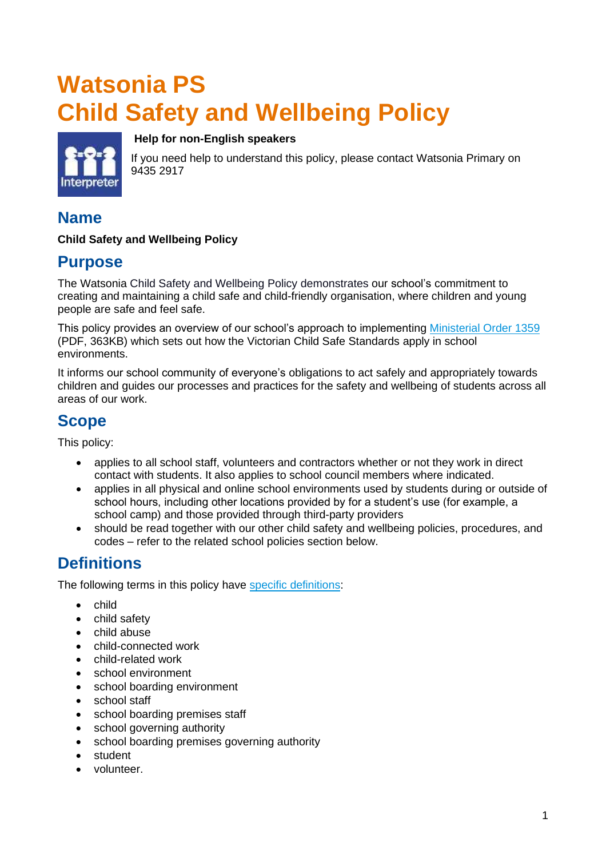# **Watsonia PS Child Safety and Wellbeing Policy**

**Help for non-English speakers**



If you need help to understand this policy, please contact Watsonia Primary on 9435 2917

# **Name**

#### **Child Safety and Wellbeing Policy**

### **Purpose**

The Watsonia Child Safety and Wellbeing Policy demonstrates our school's commitment to creating and maintaining a child safe and child-friendly organisation, where children and young people are safe and feel safe.

This policy provides an overview of our school's approach to implementing [Ministerial Order 1359](https://www.education.vic.gov.au/Documents/about/programs/health/protect/Ministerial_Order.pdf) (PDF, 363KB) which sets out how the Victorian Child Safe Standards apply in school environments.

It informs our school community of everyone's obligations to act safely and appropriately towards children and guides our processes and practices for the safety and wellbeing of students across all areas of our work.

# **Scope**

This policy:

- applies to all school staff, volunteers and contractors whether or not they work in direct contact with students. It also applies to school council members where indicated.
- applies in all physical and online school environments used by students during or outside of school hours, including other locations provided by for a student's use (for example, a school camp) and those provided through third-party providers
- should be read together with our other child safety and wellbeing policies, procedures, and codes – refer to the related school policies section below.

# **Definitions**

The following terms in this policy have [specific definitions:](https://www.vic.gov.au/child-safe-standards-definitions)

- child
- child safety
- child abuse
- child-connected work
- child-related work
- school environment
- school boarding environment
- school staff
- school boarding premises staff
- school governing authority
- school boarding premises governing authority
- student
- volunteer.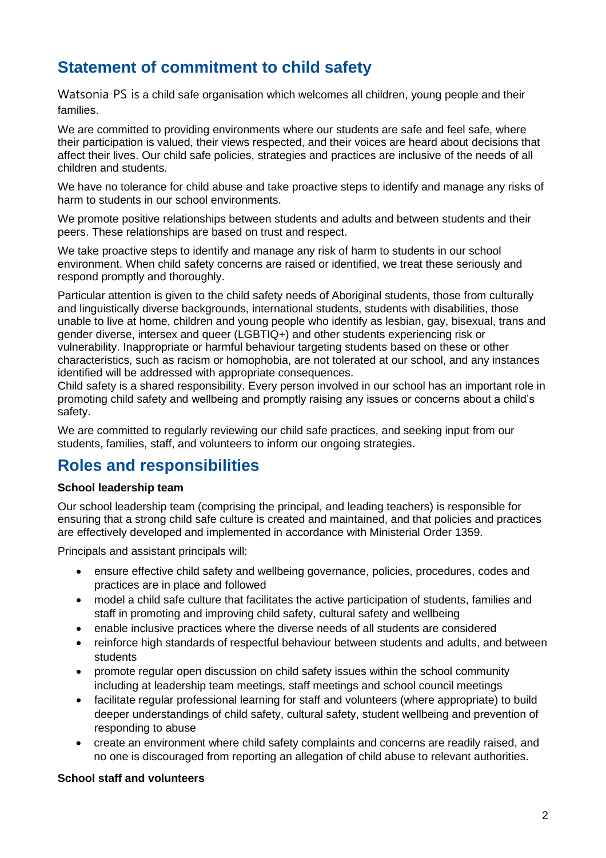# **Statement of commitment to child safety**

Watsonia PS is a child safe organisation which welcomes all children, young people and their families.

We are committed to providing environments where our students are safe and feel safe, where their participation is valued, their views respected, and their voices are heard about decisions that affect their lives. Our child safe policies, strategies and practices are inclusive of the needs of all children and students.

We have no tolerance for child abuse and take proactive steps to identify and manage any risks of harm to students in our school environments.

We promote positive relationships between students and adults and between students and their peers. These relationships are based on trust and respect.

We take proactive steps to identify and manage any risk of harm to students in our school environment. When child safety concerns are raised or identified, we treat these seriously and respond promptly and thoroughly.

Particular attention is given to the child safety needs of Aboriginal students, those from culturally and linguistically diverse backgrounds, international students, students with disabilities, those unable to live at home, children and young people who identify as lesbian, gay, bisexual, trans and gender diverse, intersex and queer (LGBTIQ+) and other students experiencing risk or vulnerability. Inappropriate or harmful behaviour targeting students based on these or other characteristics, such as racism or homophobia, are not tolerated at our school, and any instances identified will be addressed with appropriate consequences.

Child safety is a shared responsibility. Every person involved in our school has an important role in promoting child safety and wellbeing and promptly raising any issues or concerns about a child's safety.

We are committed to regularly reviewing our child safe practices, and seeking input from our students, families, staff, and volunteers to inform our ongoing strategies.

# **Roles and responsibilities**

#### **School leadership team**

Our school leadership team (comprising the principal, and leading teachers) is responsible for ensuring that a strong child safe culture is created and maintained, and that policies and practices are effectively developed and implemented in accordance with Ministerial Order 1359.

Principals and assistant principals will:

- ensure effective child safety and wellbeing governance, policies, procedures, codes and practices are in place and followed
- model a child safe culture that facilitates the active participation of students, families and staff in promoting and improving child safety, cultural safety and wellbeing
- enable inclusive practices where the diverse needs of all students are considered
- reinforce high standards of respectful behaviour between students and adults, and between students
- promote regular open discussion on child safety issues within the school community including at leadership team meetings, staff meetings and school council meetings
- facilitate regular professional learning for staff and volunteers (where appropriate) to build deeper understandings of child safety, cultural safety, student wellbeing and prevention of responding to abuse
- create an environment where child safety complaints and concerns are readily raised, and no one is discouraged from reporting an allegation of child abuse to relevant authorities.

#### **School staff and volunteers**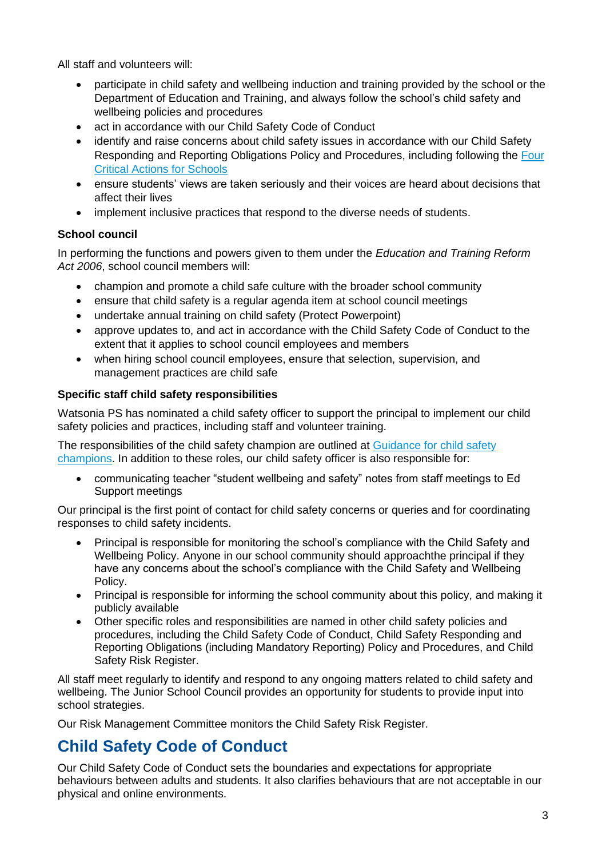All staff and volunteers will:

- participate in child safety and wellbeing induction and training provided by the school or the Department of Education and Training, and always follow the school's child safety and wellbeing policies and procedures
- act in accordance with our Child Safety Code of Conduct
- identify and raise concerns about child safety issues in accordance with our Child Safety Responding and Reporting Obligations Policy and Procedures, including following the [Four](https://www.education.vic.gov.au/school/teachers/health/childprotection/Pages/report.aspx)  [Critical Actions for Schools](https://www.education.vic.gov.au/school/teachers/health/childprotection/Pages/report.aspx)
- ensure students' views are taken seriously and their voices are heard about decisions that affect their lives
- implement inclusive practices that respond to the diverse needs of students.

#### **School council**

In performing the functions and powers given to them under the *Education and Training Reform Act 2006*, school council members will:

- champion and promote a child safe culture with the broader school community
- ensure that child safety is a regular agenda item at school council meetings
- undertake annual training on child safety (Protect Powerpoint)
- approve updates to, and act in accordance with the Child Safety Code of Conduct to the extent that it applies to school council employees and members
- when hiring school council employees, ensure that selection, supervision, and management practices are child safe

#### **Specific staff child safety responsibilities**

Watsonia PS has nominated a child safety officer to support the principal to implement our child safety policies and practices, including staff and volunteer training.

The responsibilities of the child safety champion are outlined at Guidance for child safety [champions.](https://www.vic.gov.au/guidance-child-safety-champions) In addition to these roles, our child safety officer is also responsible for:

• communicating teacher "student wellbeing and safety" notes from staff meetings to Ed Support meetings

Our principal is the first point of contact for child safety concerns or queries and for coordinating responses to child safety incidents.

- Principal is responsible for monitoring the school's compliance with the Child Safety and Wellbeing Policy. Anyone in our school community should approachthe principal if they have any concerns about the school's compliance with the Child Safety and Wellbeing Policy.
- Principal is responsible for informing the school community about this policy, and making it publicly available
- Other specific roles and responsibilities are named in other child safety policies and procedures, including the Child Safety Code of Conduct, Child Safety Responding and Reporting Obligations (including Mandatory Reporting) Policy and Procedures, and Child Safety Risk Register.

All staff meet regularly to identify and respond to any ongoing matters related to child safety and wellbeing. The Junior School Council provides an opportunity for students to provide input into school strategies.

Our Risk Management Committee monitors the Child Safety Risk Register.

# **Child Safety Code of Conduct**

Our Child Safety Code of Conduct sets the boundaries and expectations for appropriate behaviours between adults and students. It also clarifies behaviours that are not acceptable in our physical and online environments.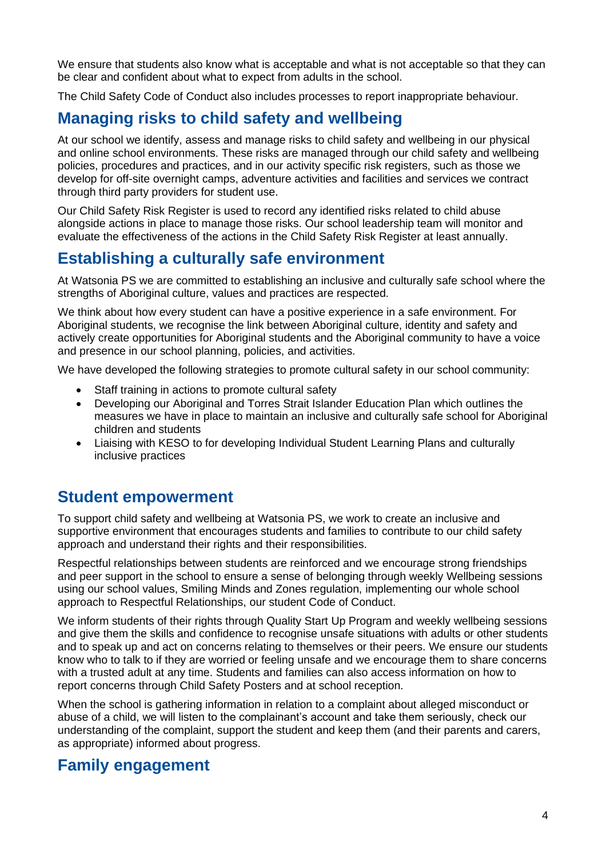We ensure that students also know what is acceptable and what is not acceptable so that they can be clear and confident about what to expect from adults in the school.

The Child Safety Code of Conduct also includes processes to report inappropriate behaviour.

# **Managing risks to child safety and wellbeing**

At our school we identify, assess and manage risks to child safety and wellbeing in our physical and online school environments. These risks are managed through our child safety and wellbeing policies, procedures and practices, and in our activity specific risk registers, such as those we develop for off-site overnight camps, adventure activities and facilities and services we contract through third party providers for student use.

Our Child Safety Risk Register is used to record any identified risks related to child abuse alongside actions in place to manage those risks. Our school leadership team will monitor and evaluate the effectiveness of the actions in the Child Safety Risk Register at least annually.

# **Establishing a culturally safe environment**

At Watsonia PS we are committed to establishing an inclusive and culturally safe school where the strengths of Aboriginal culture, values and practices are respected.

We think about how every student can have a positive experience in a safe environment. For Aboriginal students, we recognise the link between Aboriginal culture, identity and safety and actively create opportunities for Aboriginal students and the Aboriginal community to have a voice and presence in our school planning, policies, and activities.

We have developed the following strategies to promote cultural safety in our school community:

- Staff training in actions to promote cultural safety
- Developing our Aboriginal and Torres Strait Islander Education Plan which outlines the measures we have in place to maintain an inclusive and culturally safe school for Aboriginal children and students
- Liaising with KESO to for developing Individual Student Learning Plans and culturally inclusive practices

### **Student empowerment**

To support child safety and wellbeing at Watsonia PS, we work to create an inclusive and supportive environment that encourages students and families to contribute to our child safety approach and understand their rights and their responsibilities.

Respectful relationships between students are reinforced and we encourage strong friendships and peer support in the school to ensure a sense of belonging through weekly Wellbeing sessions using our school values, Smiling Minds and Zones regulation, implementing our whole school approach to Respectful Relationships, our student Code of Conduct.

We inform students of their rights through Quality Start Up Program and weekly wellbeing sessions and give them the skills and confidence to recognise unsafe situations with adults or other students and to speak up and act on concerns relating to themselves or their peers. We ensure our students know who to talk to if they are worried or feeling unsafe and we encourage them to share concerns with a trusted adult at any time. Students and families can also access information on how to report concerns through Child Safety Posters and at school reception.

When the school is gathering information in relation to a complaint about alleged misconduct or abuse of a child, we will listen to the complainant's account and take them seriously, check our understanding of the complaint, support the student and keep them (and their parents and carers, as appropriate) informed about progress.

### **Family engagement**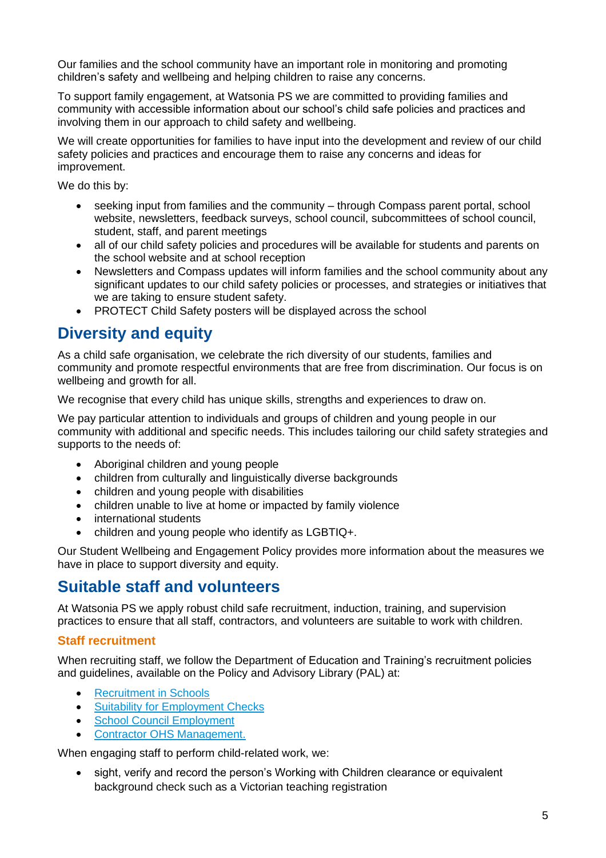Our families and the school community have an important role in monitoring and promoting children's safety and wellbeing and helping children to raise any concerns.

To support family engagement, at Watsonia PS we are committed to providing families and community with accessible information about our school's child safe policies and practices and involving them in our approach to child safety and wellbeing.

We will create opportunities for families to have input into the development and review of our child safety policies and practices and encourage them to raise any concerns and ideas for improvement.

We do this by:

- seeking input from families and the community through Compass parent portal, school website, newsletters, feedback surveys, school council, subcommittees of school council, student, staff, and parent meetings
- all of our child safety policies and procedures will be available for students and parents on the school website and at school reception
- Newsletters and Compass updates will inform families and the school community about any significant updates to our child safety policies or processes, and strategies or initiatives that we are taking to ensure student safety.
- PROTECT Child Safety posters will be displayed across the school

# **Diversity and equity**

As a child safe organisation, we celebrate the rich diversity of our students, families and community and promote respectful environments that are free from discrimination. Our focus is on wellbeing and growth for all.

We recognise that every child has unique skills, strengths and experiences to draw on.

We pay particular attention to individuals and groups of children and young people in our community with additional and specific needs. This includes tailoring our child safety strategies and supports to the needs of:

- Aboriginal children and young people
- children from culturally and linguistically diverse backgrounds
- children and young people with disabilities
- children unable to live at home or impacted by family violence
- international students
- children and young people who identify as LGBTIQ+.

Our Student Wellbeing and Engagement Policy provides more information about the measures we have in place to support diversity and equity.

# **Suitable staff and volunteers**

At Watsonia PS we apply robust child safe recruitment, induction, training, and supervision practices to ensure that all staff, contractors, and volunteers are suitable to work with children.

#### **Staff recruitment**

When recruiting staff, we follow the Department of Education and Training's recruitment policies and guidelines, available on the Policy and Advisory Library (PAL) at:

- [Recruitment in Schools](https://www2.education.vic.gov.au/pal/recruitment-schools/overview)
- [Suitability for Employment Checks](https://www2.education.vic.gov.au/pal/suitability-employment-checks/overview)
- [School Council Employment](https://www2.education.vic.gov.au/pal/school-council-employment/overview)
- [Contractor OHS Management.](https://www2.education.vic.gov.au/pal/contractor-ohs-management/policy)

When engaging staff to perform child-related work, we:

• sight, verify and record the person's Working with Children clearance or equivalent background check such as a Victorian teaching registration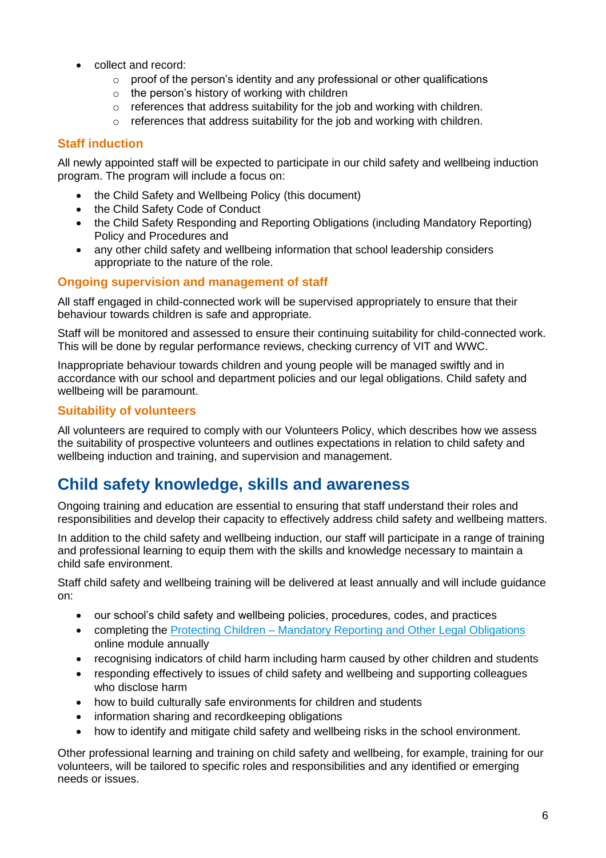- collect and record:
	- $\circ$  proof of the person's identity and any professional or other qualifications
	- o the person's history of working with children
	- o references that address suitability for the job and working with children.
	- $\circ$  references that address suitability for the job and working with children.

#### **Staff induction**

All newly appointed staff will be expected to participate in our child safety and wellbeing induction program. The program will include a focus on:

- the Child Safety and Wellbeing Policy (this document)
- the Child Safety Code of Conduct
- the Child Safety Responding and Reporting Obligations (including Mandatory Reporting) Policy and Procedures and
- any other child safety and wellbeing information that school leadership considers appropriate to the nature of the role.

#### **Ongoing supervision and management of staff**

All staff engaged in child-connected work will be supervised appropriately to ensure that their behaviour towards children is safe and appropriate.

Staff will be monitored and assessed to ensure their continuing suitability for child-connected work. This will be done by regular performance reviews, checking currency of VIT and WWC.

Inappropriate behaviour towards children and young people will be managed swiftly and in accordance with our school and department policies and our legal obligations. Child safety and wellbeing will be paramount.

#### **Suitability of volunteers**

All volunteers are required to comply with our Volunteers Policy, which describes how we assess the suitability of prospective volunteers and outlines expectations in relation to child safety and wellbeing induction and training, and supervision and management.

# **Child safety knowledge, skills and awareness**

Ongoing training and education are essential to ensuring that staff understand their roles and responsibilities and develop their capacity to effectively address child safety and wellbeing matters.

In addition to the child safety and wellbeing induction, our staff will participate in a range of training and professional learning to equip them with the skills and knowledge necessary to maintain a child safe environment.

Staff child safety and wellbeing training will be delivered at least annually and will include guidance on:

- our school's child safety and wellbeing policies, procedures, codes, and practices
- completing the Protecting Children [Mandatory Reporting and Other](http://elearn.com.au/det/protectingchildren/) Legal Obligations online module annually
- recognising indicators of child harm including harm caused by other children and students
- responding effectively to issues of child safety and wellbeing and supporting colleagues who disclose harm
- how to build culturally safe environments for children and students
- information sharing and recordkeeping obligations
- how to identify and mitigate child safety and wellbeing risks in the school environment.

Other professional learning and training on child safety and wellbeing, for example, training for our volunteers, will be tailored to specific roles and responsibilities and any identified or emerging needs or issues.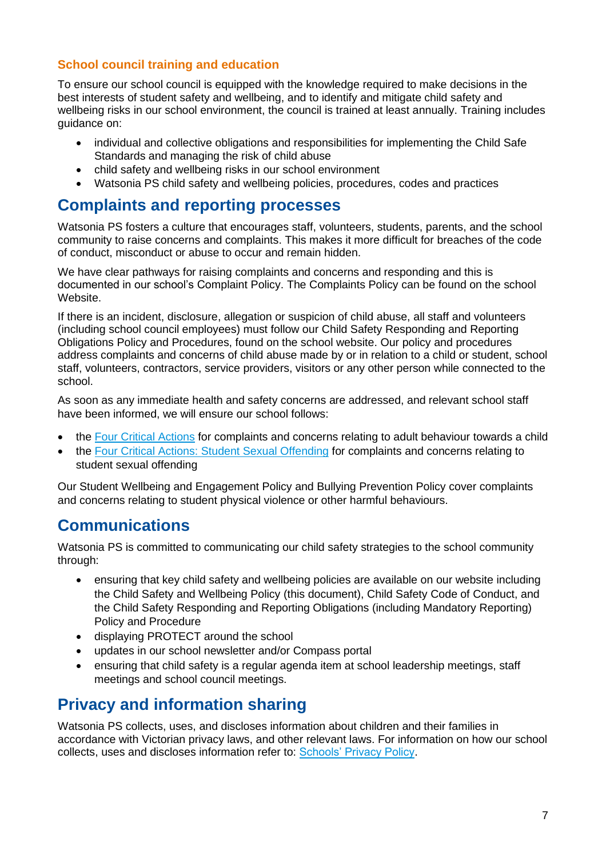#### **School council training and education**

To ensure our school council is equipped with the knowledge required to make decisions in the best interests of student safety and wellbeing, and to identify and mitigate child safety and wellbeing risks in our school environment, the council is trained at least annually. Training includes guidance on:

- individual and collective obligations and responsibilities for implementing the Child Safe Standards and managing the risk of child abuse
- child safety and wellbeing risks in our school environment
- Watsonia PS child safety and wellbeing policies, procedures, codes and practices

### **Complaints and reporting processes**

Watsonia PS fosters a culture that encourages staff, volunteers, students, parents, and the school community to raise concerns and complaints. This makes it more difficult for breaches of the code of conduct, misconduct or abuse to occur and remain hidden.

We have clear pathways for raising complaints and concerns and responding and this is documented in our school's Complaint Policy. The Complaints Policy can be found on the school Website.

If there is an incident, disclosure, allegation or suspicion of child abuse, all staff and volunteers (including school council employees) must follow our Child Safety Responding and Reporting Obligations Policy and Procedures, found on the school website. Our policy and procedures address complaints and concerns of child abuse made by or in relation to a child or student, school staff, volunteers, contractors, service providers, visitors or any other person while connected to the school.

As soon as any immediate health and safety concerns are addressed, and relevant school staff have been informed, we will ensure our school follows:

- the [Four Critical Actions](https://www.education.vic.gov.au/Documents/about/programs/health/protect/FourCriticalActions_ChildAbuse.pdf) for complaints and concerns relating to adult behaviour towards a child
- the [Four Critical Actions: Student Sexual Offending](https://www.education.vic.gov.au/school/teachers/health/childprotection/Pages/stusexual.aspx) for complaints and concerns relating to student sexual offending

Our Student Wellbeing and Engagement Policy and Bullying Prevention Policy cover complaints and concerns relating to student physical violence or other harmful behaviours.

# **Communications**

Watsonia PS is committed to communicating our child safety strategies to the school community through:

- ensuring that key child safety and wellbeing policies are available on our website including the Child Safety and Wellbeing Policy (this document), Child Safety Code of Conduct, and the Child Safety Responding and Reporting Obligations (including Mandatory Reporting) Policy and Procedure
- displaying PROTECT around the school
- updates in our school newsletter and/or Compass portal
- ensuring that child safety is a regular agenda item at school leadership meetings, staff meetings and school council meetings.

# **Privacy and information sharing**

Watsonia PS collects, uses, and discloses information about children and their families in accordance with Victorian privacy laws, and other relevant laws. For information on how our school collects, uses and discloses information refer to: [Schools' Privacy Policy.](https://www.education.vic.gov.au/Pages/schoolsprivacypolicy.aspx)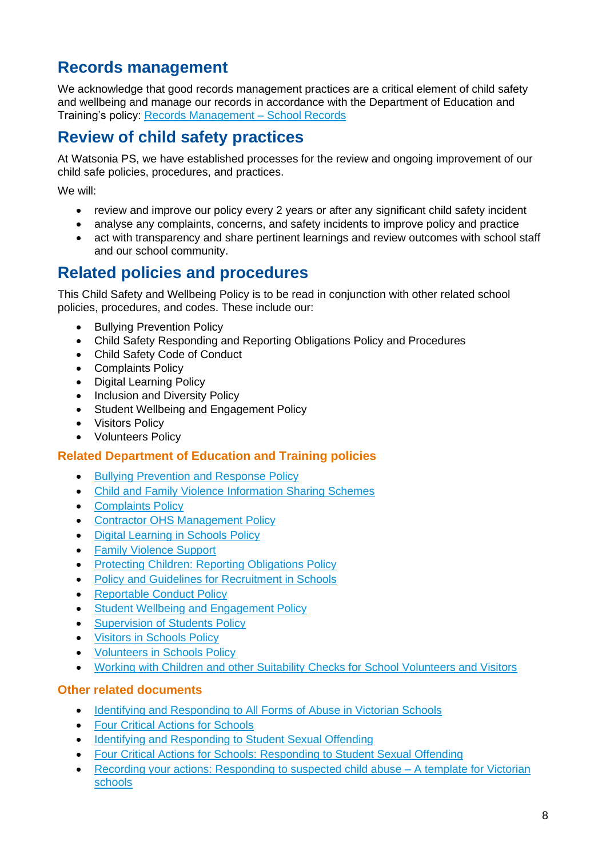# **Records management**

We acknowledge that good records management practices are a critical element of child safety and wellbeing and manage our records in accordance with the Department of Education and Training's policy: Records Management - School Records

# **Review of child safety practices**

At Watsonia PS, we have established processes for the review and ongoing improvement of our child safe policies, procedures, and practices.

We will:

- review and improve our policy every 2 years or after any significant child safety incident
- analyse any complaints, concerns, and safety incidents to improve policy and practice
- act with transparency and share pertinent learnings and review outcomes with school staff and our school community.

# **Related policies and procedures**

This Child Safety and Wellbeing Policy is to be read in conjunction with other related school policies, procedures, and codes. These include our:

- Bullying Prevention Policy
- Child Safety Responding and Reporting Obligations Policy and Procedures
- Child Safety Code of Conduct
- Complaints Policy
- Digital Learning Policy
- Inclusion and Diversity Policy
- Student Wellbeing and Engagement Policy
- Visitors Policy
- Volunteers Policy

#### **Related Department of Education and Training policies**

- [Bullying Prevention and Response Policy](https://www2.education.vic.gov.au/pal/bullying-prevention-response/policy)
- Child and Family Violence [Information Sharing Schemes](https://www2.education.vic.gov.au/pal/information-sharing-schemes/policy)
- [Complaints Policy](https://www2.education.vic.gov.au/pal/complaints/policy)
- [Contractor OHS Management Policy](https://www2.education.vic.gov.au/pal/contractor-ohs-management/policy)
- [Digital Learning in Schools Policy](https://www2.education.vic.gov.au/pal/digital-learning/policy)
- [Family Violence Support](https://www2.education.vic.gov.au/pal/family-violence-support/policy)
- [Protecting Children: Reporting Obligations Policy](https://www2.education.vic.gov.au/pal/protecting-children/policy)
- [Policy and Guidelines for Recruitment in Schools](https://www2.education.vic.gov.au/pal/recruitment-schools/policy-and-guidelines)
- [Reportable Conduct Policy](https://www2.education.vic.gov.au/pal/reportable-conduct-scheme/policy)
- Student [Wellbeing and Engagement Policy](https://www2.education.vic.gov.au/pal/student-engagement/policy)
- [Supervision of Students Policy](https://www2.education.vic.gov.au/pal/supervision-students/policy)
- [Visitors in Schools Policy](https://www2.education.vic.gov.au/pal/visitors/policy)
- [Volunteers in Schools Policy](https://www2.education.vic.gov.au/pal/volunteers/policy)
- [Working with Children and other Suitability Checks for School Volunteers and Visitors](https://www2.education.vic.gov.au/pal/suitability-checks/policy)

#### **Other related documents**

- [Identifying and Responding to All Forms of Abuse in Victorian Schools](https://www.education.vic.gov.au/Documents/about/programs/health/protect/ChildSafeStandard5_SchoolsGuide.pdf)
- [Four Critical Actions for Schools](https://www.education.vic.gov.au/Documents/about/programs/health/protect/FourCriticalActions_ChildAbuse.pdf)
- [Identifying and Responding to Student Sexual Offending](https://www.education.vic.gov.au/Documents/about/programs/health/protect/SSO_Policy.pdf)
- [Four Critical Actions for Schools: Responding to Student Sexual Offending](https://www.education.vic.gov.au/Documents/about/programs/health/protect/FourCriticalActions_SSO.pdf)
- [Recording your actions: Responding to suspected child abuse –](https://www.education.vic.gov.au/Documents/about/programs/health/protect/PROTECT_Schoolstemplate.pdf) A template for Victorian [schools](https://www.education.vic.gov.au/Documents/about/programs/health/protect/PROTECT_Schoolstemplate.pdf)